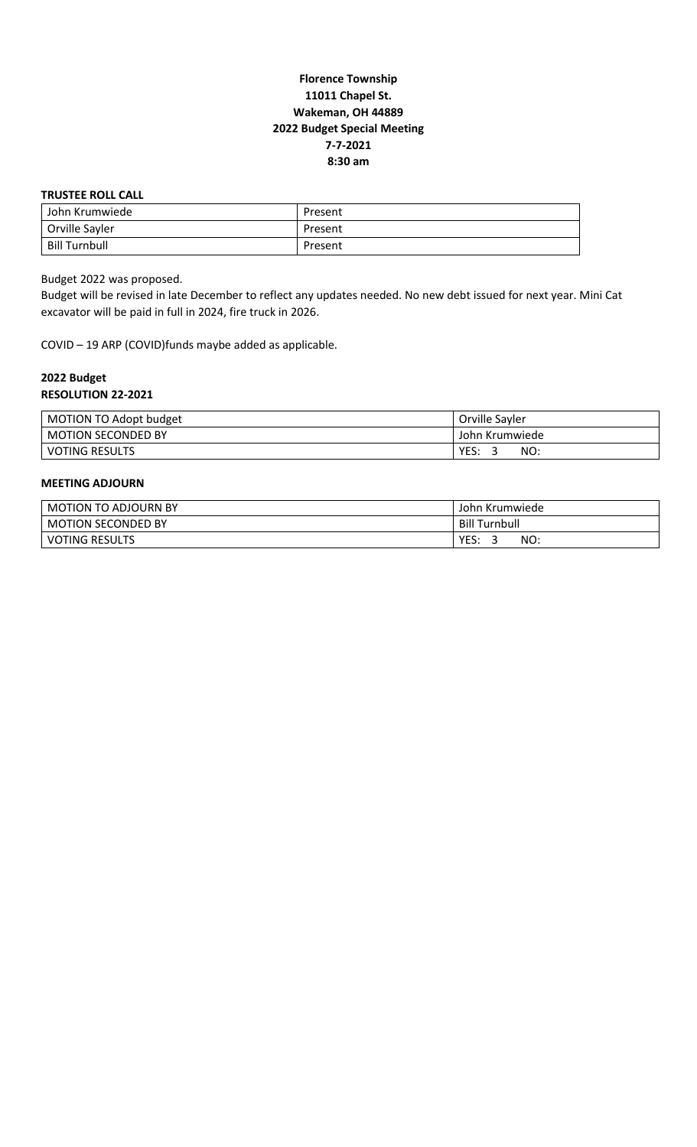# **Florence Township 11011 Chapel St. Wakeman, OH 44889 2022 Budget Special Meeting 7-7-2021 8:30 am**

### **TRUSTEE ROLL CALL**

| John Krumwiede | Present |
|----------------|---------|
| Orville Sayler | Present |
| Bill Turnbull  | Present |

Budget 2022 was proposed.

Budget will be revised in late December to reflect any updates needed. No new debt issued for next year. Mini Cat excavator will be paid in full in 2024, fire truck in 2026.

COVID – 19 ARP (COVID)funds maybe added as applicable.

## **2022 Budget RESOLUTION 22-2021**

| MOTION TO Adopt budget    | Orville Savler |
|---------------------------|----------------|
| <b>MOTION SECONDED BY</b> | John Krumwiede |
| <b>VOTING RESULTS</b>     | YES.<br>NO:    |

## **MEETING ADJOURN**

| MOTION TO<br>ADJOURN BY   | John Krumwiede         |
|---------------------------|------------------------|
| <b>MOTION SECONDED BY</b> | Turnbull<br>Bill       |
| <b>VOTING RESULTS</b>     | <b>VEC</b><br>NO:<br>⊷ |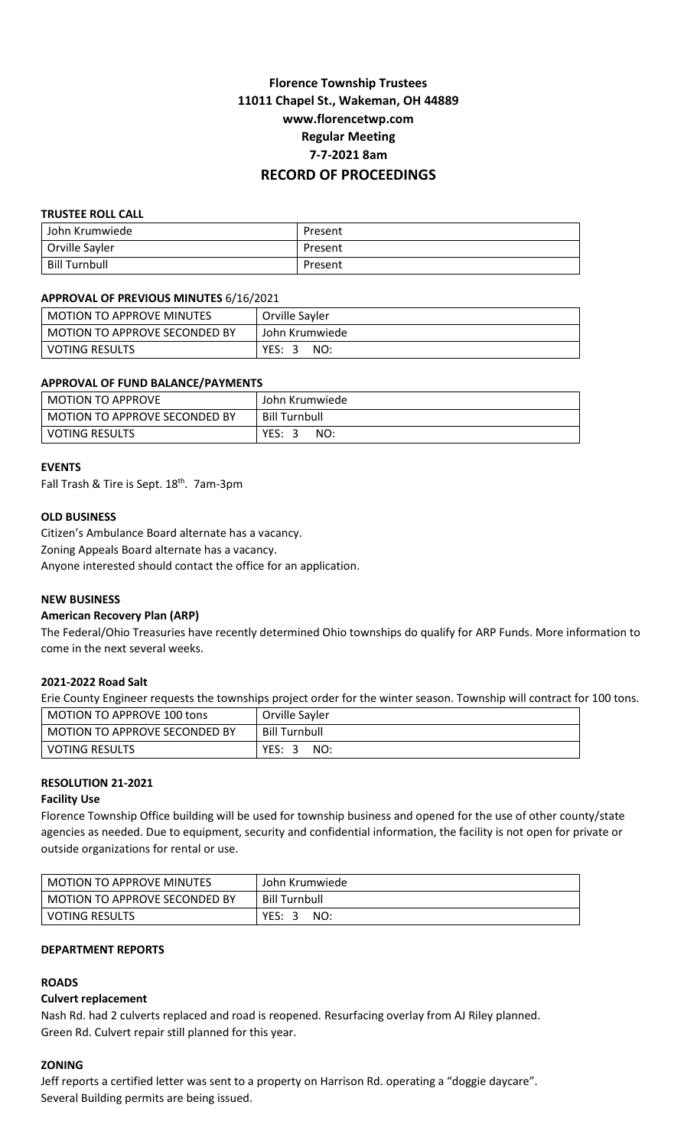# **Florence Township Trustees 11011 Chapel St., Wakeman, OH 44889 www.florencetwp.com Regular Meeting 7-7-2021 8am RECORD OF PROCEEDINGS**

## **TRUSTEE ROLL CALL**

| John Krumwiede       | Present |
|----------------------|---------|
| Orville Sayler       | Present |
| <b>Bill Turnbull</b> | Present |

#### **APPROVAL OF PREVIOUS MINUTES** 6/16/2021

| l MOTION TO APPROVE MINUTES     | Orville Sayler |
|---------------------------------|----------------|
| l MOTION TO APPROVE SECONDED BY | John Krumwiede |
| l VOTING RESULTS                | YES:<br>NO:    |

## **APPROVAL OF FUND BALANCE/PAYMENTS**

| <b>MOTION TO APPROVE</b>      | John Krumwiede |
|-------------------------------|----------------|
| MOTION TO APPROVE SECONDED BY | Bill Turnbull  |
| <b>VOTING RESULTS</b>         | YES:<br>NO:    |

#### **EVENTS**

Fall Trash & Tire is Sept. 18<sup>th</sup>. 7am-3pm

#### **OLD BUSINESS**

Citizen's Ambulance Board alternate has a vacancy.

Zoning Appeals Board alternate has a vacancy.

Anyone interested should contact the office for an application.

## **NEW BUSINESS**

## **American Recovery Plan (ARP)**

The Federal/Ohio Treasuries have recently determined Ohio townships do qualify for ARP Funds. More information to come in the next several weeks.

#### **2021-2022 Road Salt**

Erie County Engineer requests the townships project order for the winter season. Township will contract for 100 tons.

| MOTION TO APPROVE 100 tons    | Orville Sayler       |
|-------------------------------|----------------------|
| MOTION TO APPROVE SECONDED BY | <b>Bill Turnbull</b> |
| VOTING RESULTS                | YES:<br>NO:          |

## **RESOLUTION 21-2021**

#### **Facility Use**

Florence Township Office building will be used for township business and opened for the use of other county/state agencies as needed. Due to equipment, security and confidential information, the facility is not open for private or outside organizations for rental or use.

| <b>MOTION TO APPROVE MINUTES</b> | John Krumwiede     |
|----------------------------------|--------------------|
| MOTION TO APPROVE SECONDED BY    | Bill Turnbull      |
| <b>VOTING RESULTS</b>            | YES:<br>NO:<br>- 3 |

## **DEPARTMENT REPORTS**

## **ROADS**

## **Culvert replacement**

Nash Rd. had 2 culverts replaced and road is reopened. Resurfacing overlay from AJ Riley planned. Green Rd. Culvert repair still planned for this year.

#### **ZONING**

Jeff reports a certified letter was sent to a property on Harrison Rd. operating a "doggie daycare". Several Building permits are being issued.